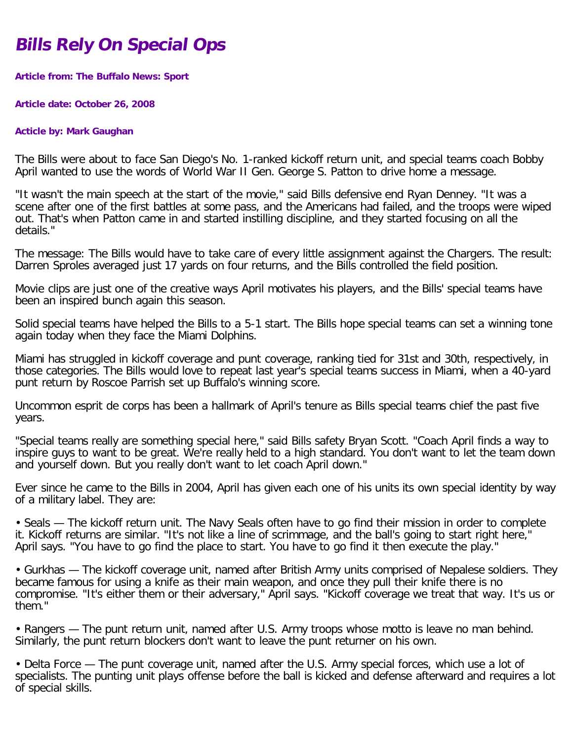## **Bills Rely On Special Ops**

**Article from: The Buffalo News: Sport**

**Article date: October 26, 2008**

## **Acticle by: Mark Gaughan**

The Bills were about to face San Diego's No. 1-ranked kickoff return unit, and special teams coach Bobby April wanted to use the words of World War II Gen. George S. Patton to drive home a message.

"It wasn't the main speech at the start of the movie," said Bills defensive end Ryan Denney. "It was a scene after one of the first battles at some pass, and the Americans had failed, and the troops were wiped out. That's when Patton came in and started instilling discipline, and they started focusing on all the details."

The message: The Bills would have to take care of every little assignment against the Chargers. The result: Darren Sproles averaged just 17 yards on four returns, and the Bills controlled the field position.

Movie clips are just one of the creative ways April motivates his players, and the Bills' special teams have been an inspired bunch again this season.

Solid special teams have helped the Bills to a 5-1 start. The Bills hope special teams can set a winning tone again today when they face the Miami Dolphins.

Miami has struggled in kickoff coverage and punt coverage, ranking tied for 31st and 30th, respectively, in those categories. The Bills would love to repeat last year's special teams success in Miami, when a 40-yard punt return by Roscoe Parrish set up Buffalo's winning score.

Uncommon esprit de corps has been a hallmark of April's tenure as Bills special teams chief the past five years.

"Special teams really are something special here," said Bills safety Bryan Scott. "Coach April finds a way to inspire guys to want to be great. We're really held to a high standard. You don't want to let the team down and yourself down. But you really don't want to let coach April down."

Ever since he came to the Bills in 2004, April has given each one of his units its own special identity by way of a military label. They are:

• Seals — The kickoff return unit. The Navy Seals often have to go find their mission in order to complete it. Kickoff returns are similar. "It's not like a line of scrimmage, and the ball's going to start right here," April says. "You have to go find the place to start. You have to go find it then execute the play."

• Gurkhas — The kickoff coverage unit, named after British Army units comprised of Nepalese soldiers. They became famous for using a knife as their main weapon, and once they pull their knife there is no compromise. "It's either them or their adversary," April says. "Kickoff coverage we treat that way. It's us or them."

• Rangers — The punt return unit, named after U.S. Army troops whose motto is leave no man behind. Similarly, the punt return blockers don't want to leave the punt returner on his own.

• Delta Force — The punt coverage unit, named after the U.S. Army special forces, which use a lot of specialists. The punting unit plays offense before the ball is kicked and defense afterward and requires a lot of special skills.